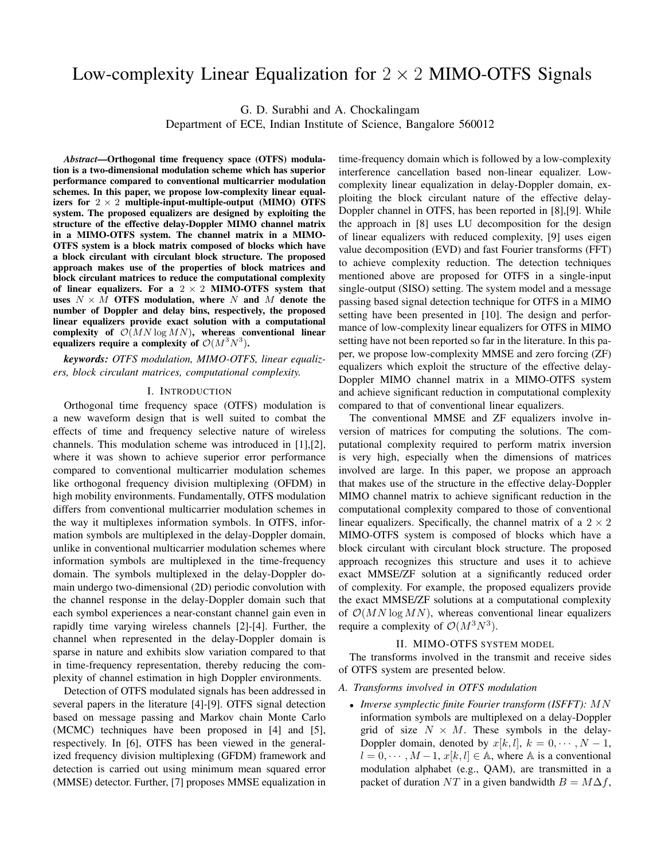# Low-complexity Linear Equalization for  $2 \times 2$  MIMO-OTFS Signals

G. D. Surabhi and A. Chockalingam

Department of ECE, Indian Institute of Science, Bangalore 560012

*Abstract*—Orthogonal time frequency space (OTFS) modulation is a two-dimensional modulation scheme which has superior performance compared to conventional multicarrier modulation schemes. In this paper, we propose low-complexity linear equalizers for  $2 \times 2$  multiple-input-multiple-output (MIMO) OTFS system. The proposed equalizers are designed by exploiting the structure of the effective delay-Doppler MIMO channel matrix in a MIMO-OTFS system. The channel matrix in a MIMO-OTFS system is a block matrix composed of blocks which have a block circulant with circulant block structure. The proposed approach makes use of the properties of block matrices and block circulant matrices to reduce the computational complexity of linear equalizers. For a  $2 \times 2$  MIMO-OTFS system that uses  $N \times M$  OTFS modulation, where N and M denote the number of Doppler and delay bins, respectively, the proposed linear equalizers provide exact solution with a computational complexity of  $\mathcal{O}(MN \log MN)$ , whereas conventional linear equalizers require a complexity of  $\mathcal{O}(M^3N^3)$ .

*keywords: OTFS modulation, MIMO-OTFS, linear equalizers, block circulant matrices, computational complexity.*

#### I. INTRODUCTION

Orthogonal time frequency space (OTFS) modulation is a new waveform design that is well suited to combat the effects of time and frequency selective nature of wireless channels. This modulation scheme was introduced in [1],[2], where it was shown to achieve superior error performance compared to conventional multicarrier modulation schemes like orthogonal frequency division multiplexing (OFDM) in high mobility environments. Fundamentally, OTFS modulation differs from conventional multicarrier modulation schemes in the way it multiplexes information symbols. In OTFS, information symbols are multiplexed in the delay-Doppler domain, unlike in conventional multicarrier modulation schemes where information symbols are multiplexed in the time-frequency domain. The symbols multiplexed in the delay-Doppler domain undergo two-dimensional (2D) periodic convolution with the channel response in the delay-Doppler domain such that each symbol experiences a near-constant channel gain even in rapidly time varying wireless channels [2]-[4]. Further, the channel when represented in the delay-Doppler domain is sparse in nature and exhibits slow variation compared to that in time-frequency representation, thereby reducing the complexity of channel estimation in high Doppler environments.

Detection of OTFS modulated signals has been addressed in several papers in the literature [4]-[9]. OTFS signal detection based on message passing and Markov chain Monte Carlo (MCMC) techniques have been proposed in [4] and [5], respectively. In [6], OTFS has been viewed in the generalized frequency division multiplexing (GFDM) framework and detection is carried out using minimum mean squared error (MMSE) detector. Further, [7] proposes MMSE equalization in time-frequency domain which is followed by a low-complexity interference cancellation based non-linear equalizer. Lowcomplexity linear equalization in delay-Doppler domain, exploiting the block circulant nature of the effective delay-Doppler channel in OTFS, has been reported in [8],[9]. While the approach in [8] uses LU decomposition for the design of linear equalizers with reduced complexity, [9] uses eigen value decomposition (EVD) and fast Fourier transforms (FFT) to achieve complexity reduction. The detection techniques mentioned above are proposed for OTFS in a single-input single-output (SISO) setting. The system model and a message passing based signal detection technique for OTFS in a MIMO setting have been presented in [10]. The design and performance of low-complexity linear equalizers for OTFS in MIMO setting have not been reported so far in the literature. In this paper, we propose low-complexity MMSE and zero forcing (ZF) equalizers which exploit the structure of the effective delay-Doppler MIMO channel matrix in a MIMO-OTFS system and achieve significant reduction in computational complexity compared to that of conventional linear equalizers.

The conventional MMSE and ZF equalizers involve inversion of matrices for computing the solutions. The computational complexity required to perform matrix inversion is very high, especially when the dimensions of matrices involved are large. In this paper, we propose an approach that makes use of the structure in the effective delay-Doppler MIMO channel matrix to achieve significant reduction in the computational complexity compared to those of conventional linear equalizers. Specifically, the channel matrix of a  $2 \times 2$ MIMO-OTFS system is composed of blocks which have a block circulant with circulant block structure. The proposed approach recognizes this structure and uses it to achieve exact MMSE/ZF solution at a significantly reduced order of complexity. For example, the proposed equalizers provide the exact MMSE/ZF solutions at a computational complexity of  $\mathcal{O}(MN \log MN)$ , whereas conventional linear equalizers require a complexity of  $\mathcal{O}(M^3N^3)$ .

# II. MIMO-OTFS SYSTEM MODEL

The transforms involved in the transmit and receive sides of OTFS system are presented below.

## *A. Transforms involved in OTFS modulation*

• *Inverse symplectic finite Fourier transform (ISFFT):* MN information symbols are multiplexed on a delay-Doppler grid of size  $N \times M$ . These symbols in the delay-Doppler domain, denoted by  $x[k, l], k = 0, \dots, N - 1$ ,  $l = 0, \dots, M-1, x[k, l] \in A$ , where A is a conventional modulation alphabet (e.g., QAM), are transmitted in a packet of duration NT in a given bandwidth  $B = M\Delta f$ ,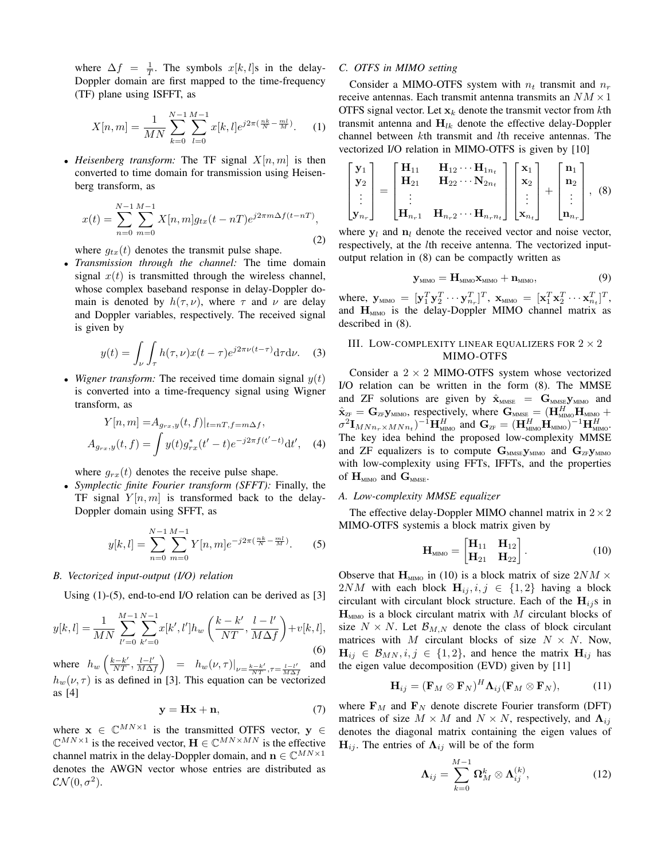where  $\Delta f = \frac{1}{T}$ . The symbols  $x[k, l]$ s in the delay-Doppler domain are first mapped to the time-frequency (TF) plane using ISFFT, as

$$
X[n,m] = \frac{1}{MN} \sum_{k=0}^{N-1} \sum_{l=0}^{M-1} x[k,l] e^{j2\pi(\frac{nk}{N} - \frac{ml}{M})}.
$$
 (1)

• *Heisenberg transform:* The TF signal  $X[n, m]$  is then converted to time domain for transmission using Heisenberg transform, as

$$
x(t) = \sum_{n=0}^{N-1} \sum_{m=0}^{M-1} X[n, m] g_{tx}(t - nT) e^{j2\pi m \Delta f (t - nT)},
$$
\n(2)

where  $g_{tx}(t)$  denotes the transmit pulse shape.

• *Transmission through the channel:* The time domain signal  $x(t)$  is transmitted through the wireless channel, whose complex baseband response in delay-Doppler domain is denoted by  $h(\tau, \nu)$ , where  $\tau$  and  $\nu$  are delay and Doppler variables, respectively. The received signal is given by

$$
y(t) = \int_{\nu} \int_{\tau} h(\tau, \nu) x(t - \tau) e^{j2\pi \nu (t - \tau)} d\tau d\nu.
$$
 (3)

• *Wigner transform:* The received time domain signal  $y(t)$ is converted into a time-frequency signal using Wigner transform, as

$$
Y[n,m] = A_{g_{rx},y}(t,f)|_{t=nT,f=m\Delta f},
$$
  
\n
$$
A_{g_{rx},y}(t,f) = \int y(t)g_{rx}^*(t'-t)e^{-j2\pi f(t'-t)}dt',
$$
 (4)

where  $g_{rx}(t)$  denotes the receive pulse shape.

• *Symplectic finite Fourier transform (SFFT):* Finally, the TF signal  $Y[n,m]$  is transformed back to the delay-Doppler domain using SFFT, as

$$
y[k,l] = \sum_{n=0}^{N-1} \sum_{m=0}^{M-1} Y[n,m] e^{-j2\pi (\frac{nk}{N} - \frac{ml}{M})}.
$$
 (5)

### *B. Vectorized input-output (I/O) relation*

Using (1)-(5), end-to-end I/O relation can be derived as [3]

$$
y[k,l] = \frac{1}{MN} \sum_{l'=0}^{M-1} \sum_{k'=0}^{N-1} x[k',l'] h_w\left(\frac{k-k'}{NT}, \frac{l-l'}{M\Delta f}\right) + v[k,l],\tag{6}
$$

where  $h_w \left( \frac{k-k'}{NT}, \frac{l-l'}{M\Delta} \right)$  $\left.\frac{l-l'}{M\Delta f}\right\rangle = h_w(\nu, \tau)\right|_{\nu=\frac{k-k'}{NT}, \tau=\frac{l-l'}{M\Delta_x}}$ M∆f and  $h_w(\nu, \tau)$  is as defined in [3]. This equation can be vectorized as [4]

$$
y = Hx + n,\t(7)
$$

where  $\mathbf{x} \in \mathbb{C}^{MN \times 1}$  is the transmitted OTFS vector,  $\mathbf{y} \in$  $\mathbb{C}^{MN \times 1}$  is the received vector,  $\mathbf{H} \in \mathbb{C}^{MN \times MN}$  is the effective channel matrix in the delay-Doppler domain, and  $\mathbf{n} \in \mathbb{C}^{MN \times 1}$ denotes the AWGN vector whose entries are distributed as  $\mathcal{CN}(0,\sigma^2).$ 

## *C. OTFS in MIMO setting*

Consider a MIMO-OTFS system with  $n_t$  transmit and  $n_r$ receive antennas. Each transmit antenna transmits an  $NM \times 1$ OTFS signal vector. Let  $x_k$  denote the transmit vector from kth transmit antenna and  $H_{lk}$  denote the effective delay-Doppler channel between kth transmit and lth receive antennas. The vectorized I/O relation in MIMO-OTFS is given by [10]

$$
\begin{bmatrix} \mathbf{y}_1 \\ \mathbf{y}_2 \\ \vdots \\ \mathbf{y}_{n_r} \end{bmatrix} = \begin{bmatrix} \mathbf{H}_{11} & \mathbf{H}_{12} \cdots \mathbf{H}_{1n_t} \\ \mathbf{H}_{21} & \mathbf{H}_{22} \cdots \mathbf{N}_{2n_t} \\ \vdots & \vdots \\ \mathbf{H}_{n_r1} & \mathbf{H}_{n_r2} \cdots \mathbf{H}_{n_rn_t} \end{bmatrix} \begin{bmatrix} \mathbf{x}_1 \\ \mathbf{x}_2 \\ \vdots \\ \mathbf{x}_{n_t} \end{bmatrix} + \begin{bmatrix} \mathbf{n}_1 \\ \mathbf{n}_2 \\ \vdots \\ \mathbf{n}_{n_r} \end{bmatrix}, \quad (8)
$$

where  $y_l$  and  $n_l$  denote the received vector and noise vector, respectively, at the lth receive antenna. The vectorized inputoutput relation in (8) can be compactly written as

$$
\mathbf{y}_{\text{MIMO}} = \mathbf{H}_{\text{MIMO}} \mathbf{x}_{\text{MIMO}} + \mathbf{n}_{\text{MIMO}},\tag{9}
$$

where,  $\mathbf{y}_{\text{MIMO}} = [\mathbf{y}_1^T \mathbf{y}_2^T \cdots \mathbf{y}_{n_r}^T]^T$ ,  $\mathbf{x}_{\text{MIMO}} = [\mathbf{x}_1^T \mathbf{x}_2^T \cdots \mathbf{x}_{n_t}^T]^T$ , and  $H_{MIMO}$  is the delay-Doppler MIMO channel matrix as described in (8).

# III. LOW-COMPLEXITY LINEAR EQUALIZERS FOR  $2 \times 2$ MIMO-OTFS

Consider a  $2 \times 2$  MIMO-OTFS system whose vectorized I/O relation can be written in the form (8). The MMSE and ZF solutions are given by  $\hat{\mathbf{x}}_{MME} = \mathbf{G}_{MME} \mathbf{y}_{MIMO}$  and  $\hat{\mathbf{x}}_{\text{\tiny ZF}} = \mathbf{G}_{\text{\tiny ZF}} \mathbf{y}_{\text{\tiny MIMO}}$ , respectively, where  $\mathbf{G}_{\text{\tiny MMSE}} = (\mathbf{H}_{\text{\tiny MIMO}}^H \mathbf{H}_{\text{\tiny MIMO}} +$  $\sigma^2 \mathbf{I}_{M N n_r \times M N n_t}$ )<sup>-1</sup> $\mathbf{H}_{\text{MIMO}}^H$  and  $\mathbf{G}_{\text{ZF}} = (\mathbf{H}_{\text{MIMO}}^H \dot{\mathbf{H}}_{\text{MIMO}}^H)^{-1} \mathbf{H}_{\text{MIMO}}^H$ The key idea behind the proposed low-complexity MMSE and ZF equalizers is to compute  $\mathbf{G}_{\text{MMSE}} \mathbf{y}_{\text{MMO}}$  and  $\mathbf{G}_{\text{ZF}} \mathbf{y}_{\text{MMO}}$ with low-complexity using FFTs, IFFTs, and the properties of  $H_{\text{MIMO}}$  and  $G_{\text{MMSE}}$ .

## *A. Low-complexity MMSE equalizer*

The effective delay-Doppler MIMO channel matrix in  $2 \times 2$ MIMO-OTFS systemis a block matrix given by

$$
\mathbf{H}_{\text{MIMO}} = \begin{bmatrix} \mathbf{H}_{11} & \mathbf{H}_{12} \\ \mathbf{H}_{21} & \mathbf{H}_{22} \end{bmatrix} . \tag{10}
$$

Observe that  $H_{\text{MIMO}}$  in (10) is a block matrix of size  $2NM \times$ 2NM with each block  $H_{ij}$ ,  $i, j \in \{1, 2\}$  having a block circulant with circulant block structure. Each of the  $H_{i,j}$ s in  $H_{\text{MIMO}}$  is a block circulant matrix with M circulant blocks of size  $N \times N$ . Let  $\mathcal{B}_{M,N}$  denote the class of block circulant matrices with M circulant blocks of size  $N \times N$ . Now,  $H_{ij} \in \mathcal{B}_{MN}, i, j \in \{1, 2\}$ , and hence the matrix  $H_{ij}$  has the eigen value decomposition (EVD) given by [11]

$$
\mathbf{H}_{ij} = (\mathbf{F}_M \otimes \mathbf{F}_N)^H \mathbf{\Lambda}_{ij} (\mathbf{F}_M \otimes \mathbf{F}_N), \tag{11}
$$

where  $\mathbf{F}_M$  and  $\mathbf{F}_N$  denote discrete Fourier transform (DFT) matrices of size  $M \times M$  and  $N \times N$ , respectively, and  $\Lambda_{ij}$ denotes the diagonal matrix containing the eigen values of  $H_{ij}$ . The entries of  $\Lambda_{ij}$  will be of the form

$$
\Lambda_{ij} = \sum_{k=0}^{M-1} \Omega_M^k \otimes \Lambda_{ij}^{(k)}, \qquad (12)
$$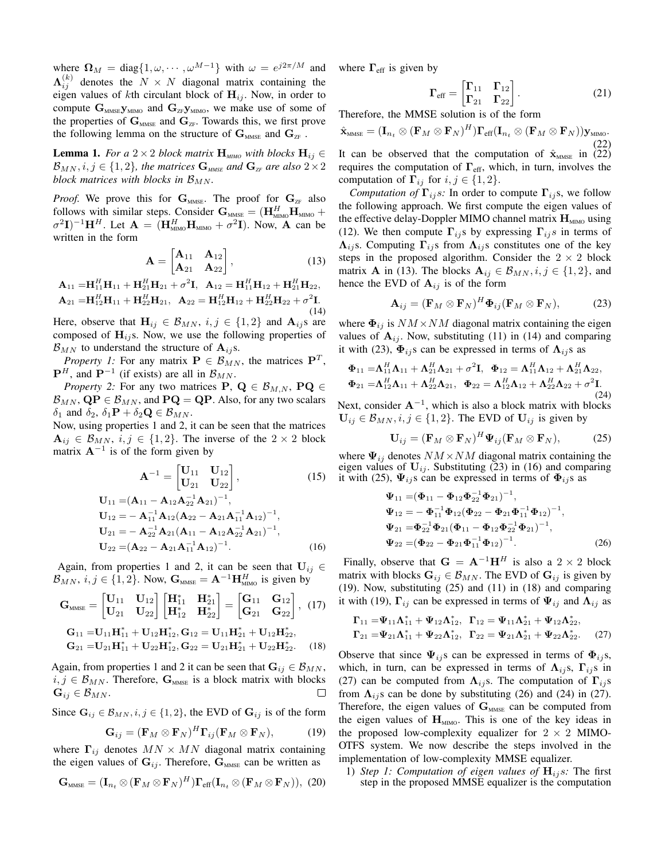where  $\Omega_M = \text{diag}\{1, \omega, \cdots, \omega^{M-1}\}\$  with  $\omega = e^{j2\pi/M}$  and  $\Lambda_{ij}^{(k)}$  denotes the  $N \times N$  diagonal matrix containing the eigen values of kth circulant block of  $H_{ij}$ . Now, in order to compute  $G_{MMSE}$ y<sub>MIMO</sub> and  $G_{ZF}$ y<sub>MIMO</sub>, we make use of some of the properties of  $\mathbf{G}_{\text{MMSE}}$  and  $\mathbf{G}_{\text{ZF}}$ . Towards this, we first prove the following lemma on the structure of  $G_{MME}$  and  $G_{ZF}$ .

**Lemma 1.** *For a* 2 × 2 *block matrix*  $\mathbf{H}_{\text{MIMO}}$  *with blocks*  $\mathbf{H}_{ij} \in$  $\mathcal{B}_{MN}, i, j \in \{1, 2\}$ , the matrices  $\mathbf{G}_{\text{MMSE}}$  and  $\mathbf{G}_{\text{ZF}}$  are also  $2 \times 2$ *block matrices with blocks in*  $\mathcal{B}_{MN}$ *.* 

*Proof.* We prove this for  $\mathbf{G}_{\text{MMSE}}$ . The proof for  $\mathbf{G}_{\text{ZF}}$  also follows with similar steps. Consider  $\mathbf{G}_{\text{\tiny{MMSE}}} = (\mathbf{H}_{\text{\tiny{MIMO}}}^H \mathbf{H}_{\text{\tiny{MIMO}}} +$  $\sigma^2 \mathbf{I})^{-1} \mathbf{H}^H$ . Let  $\mathbf{A} = (\mathbf{H}_{\text{MIMO}}^H \mathbf{H}_{\text{MIMO}} + \sigma^2 \mathbf{I})$ . Now, A can be written in the form

$$
\mathbf{A} = \begin{bmatrix} \mathbf{A}_{11} & \mathbf{A}_{12} \\ \mathbf{A}_{21} & \mathbf{A}_{22} \end{bmatrix},
$$
(13)

$$
\mathbf{A}_{11} = \mathbf{H}_{11}^H \mathbf{H}_{11} + \mathbf{H}_{21}^H \mathbf{H}_{21} + \sigma^2 \mathbf{I}, \quad \mathbf{A}_{12} = \mathbf{H}_{11}^H \mathbf{H}_{12} + \mathbf{H}_{21}^H \mathbf{H}_{22}, \n\mathbf{A}_{21} = \mathbf{H}_{12}^H \mathbf{H}_{11} + \mathbf{H}_{22}^H \mathbf{H}_{21}, \quad \mathbf{A}_{22} = \mathbf{H}_{12}^H \mathbf{H}_{12} + \mathbf{H}_{22}^H \mathbf{H}_{22} + \sigma^2 \mathbf{I}. \tag{14}
$$

Here, observe that  $\mathbf{H}_{ij} \in \mathcal{B}_{MN}$ ,  $i, j \in \{1, 2\}$  and  $\mathbf{A}_{ij}$ s are composed of  $H_{ij}$ s. Now, we use the following properties of  $\mathcal{B}_{MN}$  to understand the structure of  $\mathbf{A}_{ij}$ s.

*Property 1:* For any matrix  $P \in \mathcal{B}_{MN}$ , the matrices  $P^T$ ,  ${\bf P}^{H}$ , and  ${\bf P}^{-1}$  (if exists) are all in  $\mathcal{B}_{MN}$ .

*Property 2:* For any two matrices **P**,  $Q \in \mathcal{B}_{M,N}$ , **PQ**  $\in$  $\mathcal{B}_{MN}$ ,  $\mathbf{QP} \in \mathcal{B}_{MN}$ , and  $\mathbf{PQ} = \mathbf{QP}$ . Also, for any two scalars  $\delta_1$  and  $\delta_2$ ,  $\delta_1$ **P** +  $\delta_2$ **Q**  $\in$   $\mathcal{B}_{MN}$ .

Now, using properties 1 and 2, it can be seen that the matrices  $A_{ij} \in \mathcal{B}_{MN}, i, j \in \{1, 2\}.$  The inverse of the  $2 \times 2$  block matrix  $A^{-1}$  is of the form given by

$$
\mathbf{A}^{-1} = \begin{bmatrix} \mathbf{U}_{11} & \mathbf{U}_{12} \\ \mathbf{U}_{21} & \mathbf{U}_{22} \end{bmatrix},
$$
(15)  
\n
$$
\mathbf{U}_{11} = (\mathbf{A}_{11} - \mathbf{A}_{12}\mathbf{A}_{22}^{-1}\mathbf{A}_{21})^{-1},
$$
  
\n
$$
\mathbf{U}_{12} = -\mathbf{A}_{11}^{-1}\mathbf{A}_{12}(\mathbf{A}_{22} - \mathbf{A}_{21}\mathbf{A}_{11}^{-1}\mathbf{A}_{12})^{-1},
$$
  
\n
$$
\mathbf{U}_{21} = -\mathbf{A}_{22}^{-1}\mathbf{A}_{21}(\mathbf{A}_{11} - \mathbf{A}_{12}\mathbf{A}_{22}^{-1}\mathbf{A}_{21})^{-1},
$$
  
\n
$$
\mathbf{U}_{22} = (\mathbf{A}_{22} - \mathbf{A}_{21}\mathbf{A}_{11}^{-1}\mathbf{A}_{12})^{-1}.
$$
(16)

Again, from properties 1 and 2, it can be seen that  $U_{ij} \in$  $\mathcal{B}_{MN}$ ,  $i, j \in \{1, 2\}$ . Now,  $\mathbf{G}_{MMSE} = \mathbf{A}^{-1} \mathbf{H}_{MMO}^H$  is given by

$$
\mathbf{G}_{\text{MMSE}} = \begin{bmatrix} \mathbf{U}_{11} & \mathbf{U}_{12} \\ \mathbf{U}_{21} & \mathbf{U}_{22} \end{bmatrix} \begin{bmatrix} \mathbf{H}_{11}^{*} & \mathbf{H}_{21}^{*} \\ \mathbf{H}_{12}^{*} & \mathbf{H}_{22}^{*} \end{bmatrix} = \begin{bmatrix} \mathbf{G}_{11} & \mathbf{G}_{12} \\ \mathbf{G}_{21} & \mathbf{G}_{22} \end{bmatrix}, (17)
$$

$$
\begin{aligned} &\mathbf{G}_{11}=\!\mathbf{U}_{11}\mathbf{H}_{11}^*+\mathbf{U}_{12}\mathbf{H}_{12}^*,\mathbf{G}_{12}=\mathbf{U}_{11}\mathbf{H}_{21}^*+\mathbf{U}_{12}\mathbf{H}_{22}^*,\\ &\mathbf{G}_{21}=\!\mathbf{U}_{21}\mathbf{H}_{11}^*+\mathbf{U}_{22}\mathbf{H}_{12}^*,\mathbf{G}_{22}=\mathbf{U}_{21}\mathbf{H}_{21}^*+\mathbf{U}_{22}\mathbf{H}_{22}^*. \end{aligned} \eqno{(18)}
$$

Again, from properties 1 and 2 it can be seen that  $\mathbf{G}_{ij} \in \mathcal{B}_{MN}$ ,  $i, j \in \mathcal{B}_{MN}$ . Therefore,  $\mathbf{G}_{MMSE}$  is a block matrix with blocks  $\mathbf{G}_{ij} \in \mathcal{B}_{MN}.$ 

Since  $G_{ij} \in \mathcal{B}_{MN}, i, j \in \{1, 2\}$ , the EVD of  $G_{ij}$  is of the form

$$
\mathbf{G}_{ij} = (\mathbf{F}_M \otimes \mathbf{F}_N)^H \mathbf{\Gamma}_{ij} (\mathbf{F}_M \otimes \mathbf{F}_N), \tag{19}
$$

where  $\Gamma_{ij}$  denotes  $MN \times MN$  diagonal matrix containing the eigen values of  $G_{ij}$ . Therefore,  $G_{MME}$  can be written as

$$
\mathbf{G}_{\text{MMSE}} = (\mathbf{I}_{n_t} \otimes (\mathbf{F}_M \otimes \mathbf{F}_N)^H) \mathbf{\Gamma}_{\text{eff}} (\mathbf{I}_{n_t} \otimes (\mathbf{F}_M \otimes \mathbf{F}_N)), (20)
$$

where  $\Gamma_{\rm eff}$  is given by

$$
\Gamma_{\rm eff} = \begin{bmatrix} \Gamma_{11} & \Gamma_{12} \\ \Gamma_{21} & \Gamma_{22} \end{bmatrix} . \tag{21}
$$

Therefore, the MMSE solution is of the form

 $\hat{\mathbf{x}}_{\text{\tiny{MMSE}}} = (\mathbf{I}_{n_t}\otimes(\mathbf{F}_M\otimes\mathbf{F}_N)^H)\mathbf{\Gamma}_{\mathrm{eff}}(\mathbf{I}_{n_t}\otimes(\mathbf{F}_M\otimes\mathbf{F}_N))\mathbf{y}_{\text{\tiny{MMO}}}.$ (22) It can be observed that the computation of  $\hat{\mathbf{x}}_{MME}$  in (22) requires the computation of  $\Gamma_{\rm eff}$ , which, in turn, involves the computation of  $\Gamma_{ij}$  for  $i, j \in \{1, 2\}$ .

*Computation of*  $\Gamma_{ij}$ *s:* In order to compute  $\Gamma_{ij}$ s, we follow the following approach. We first compute the eigen values of the effective delay-Doppler MIMO channel matrix  $\mathbf{H}_{\text{MIMO}}$  using (12). We then compute  $\Gamma_{ij}$ s by expressing  $\Gamma_{ij}$ s in terms of  $\Lambda_{ij}$ s. Computing  $\Gamma_{ij}$ s from  $\Lambda_{ij}$ s constitutes one of the key steps in the proposed algorithm. Consider the  $2 \times 2$  block matrix **A** in (13). The blocks  $A_{ij} \in \mathcal{B}_{MN}$ ,  $i, j \in \{1, 2\}$ , and hence the EVD of  $A_{ij}$  is of the form

$$
\mathbf{A}_{ij} = (\mathbf{F}_M \otimes \mathbf{F}_N)^H \mathbf{\Phi}_{ij} (\mathbf{F}_M \otimes \mathbf{F}_N), \tag{23}
$$

where  $\Phi_{ij}$  is  $NM \times NM$  diagonal matrix containing the eigen values of  $A_{ij}$ . Now, substituting (11) in (14) and comparing it with (23),  $\Phi_{ij}$ s can be expressed in terms of  $\Lambda_{ij}$ s as

$$
\Phi_{11} = \Lambda_{11}^H \Lambda_{11} + \Lambda_{21}^H \Lambda_{21} + \sigma^2 \mathbf{I}, \quad \Phi_{12} = \Lambda_{11}^H \Lambda_{12} + \Lambda_{21}^H \Lambda_{22}, \n\Phi_{21} = \Lambda_{12}^H \Lambda_{11} + \Lambda_{22}^H \Lambda_{21}, \quad \Phi_{22} = \Lambda_{12}^H \Lambda_{12} + \Lambda_{22}^H \Lambda_{22} + \sigma^2 \mathbf{I}.
$$
\n(24)

Next, consider  $A^{-1}$ , which is also a block matrix with blocks  $U_{ij} \in \mathcal{B}_{MN}, i, j \in \{1, 2\}$ . The EVD of  $U_{ij}$  is given by

$$
\mathbf{U}_{ij} = (\mathbf{F}_M \otimes \mathbf{F}_N)^H \mathbf{\Psi}_{ij} (\mathbf{F}_M \otimes \mathbf{F}_N), \tag{25}
$$

where  $\Psi_{ij}$  denotes  $NM \times NM$  diagonal matrix containing the eigen values of  $U_{ii}$ . Substituting (23) in (16) and comparing it with (25),  $\Psi_{ij}$ s can be expressed in terms of  $\Phi_{ij}$ s as

$$
\Psi_{11} = (\Phi_{11} - \Phi_{12}\Phi_{22}^{-1}\Phi_{21})^{-1}, \n\Psi_{12} = -\Phi_{11}^{-1}\Phi_{12}(\Phi_{22} - \Phi_{21}\Phi_{11}^{-1}\Phi_{12})^{-1}, \n\Psi_{21} = \Phi_{22}^{-1}\Phi_{21}(\Phi_{11} - \Phi_{12}\Phi_{22}^{-1}\Phi_{21})^{-1}, \n\Psi_{22} = (\Phi_{22} - \Phi_{21}\Phi_{11}^{-1}\Phi_{12})^{-1}.
$$
\n(26)

Finally, observe that  $G = A^{-1}H^H$  is also a 2 × 2 block matrix with blocks  $G_{ij} \in \mathcal{B}_{MN}$ . The EVD of  $G_{ij}$  is given by (19). Now, substituting (25) and (11) in (18) and comparing it with (19),  $\Gamma_{ij}$  can be expressed in terms of  $\Psi_{ij}$  and  $\Lambda_{ij}$  as

$$
\begin{array}{l} \Gamma_{11} = \!\!\Psi_{11} \Lambda_{11}^* + \Psi_{12} \Lambda_{12}^*, \ \ \Gamma_{12} = \Psi_{11} \Lambda_{21}^* + \Psi_{12} \Lambda_{22}^*, \\ \Gamma_{21} = \!\!\Psi_{21} \Lambda_{11}^* + \Psi_{22} \Lambda_{12}^*, \ \ \Gamma_{22} = \Psi_{21} \Lambda_{21}^* + \Psi_{22} \Lambda_{22}^*. \end{array} \eqno(27)
$$

Observe that since  $\Psi_{ij}$ s can be expressed in terms of  $\Phi_{ij}$ s, which, in turn, can be expressed in terms of  $\Lambda_{ij}$ s,  $\Gamma_{ij}$ s in (27) can be computed from  $\Lambda_{ij}$ s. The computation of  $\Gamma_{ij}$ s from  $\Lambda_{ij}$  can be done by substituting (26) and (24) in (27). Therefore, the eigen values of  $G_{MME}$  can be computed from the eigen values of  $H_{\text{MIMO}}$ . This is one of the key ideas in the proposed low-complexity equalizer for  $2 \times 2$  MIMO-OTFS system. We now describe the steps involved in the implementation of low-complexity MMSE equalizer.

1) *Step 1: Computation of eigen values of*  $H_{i,j}$ *s:* The first step in the proposed MMSE equalizer is the computation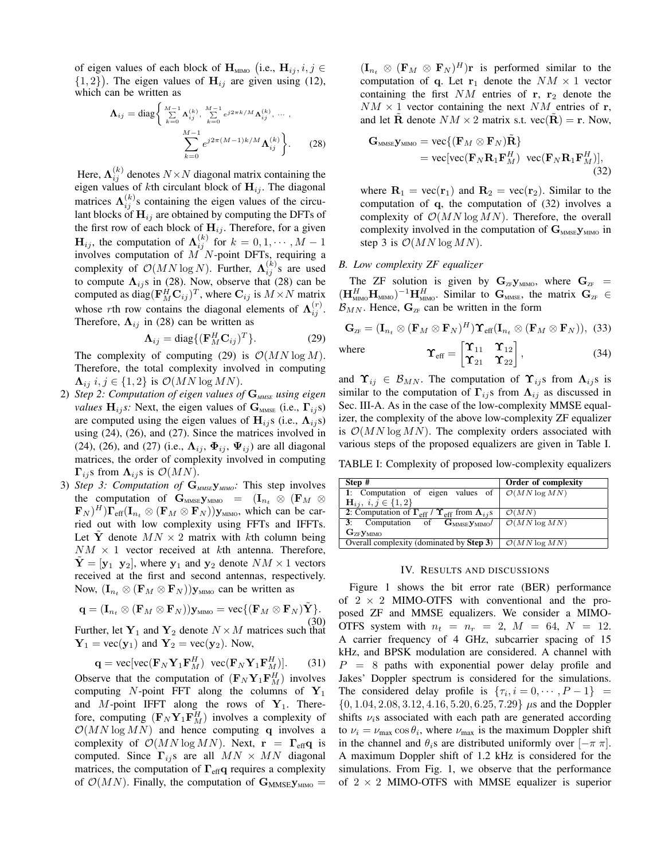of eigen values of each block of  $\mathbf{H}_{\text{MIMO}}$  (i.e.,  $\mathbf{H}_{ij}$ ,  $i, j \in$  $\{1, 2\}$ ). The eigen values of  $H_{ij}$  are given using (12), which can be written as

$$
\Lambda_{ij} = \text{diag}\left\{\sum_{k=0}^{M-1} \Lambda_{ij}^{(k)}, \sum_{k=0}^{M-1} e^{j2\pi k/M} \Lambda_{ij}^{(k)}, \dots, \sum_{k=0}^{M-1} e^{j2\pi (M-1)k/M} \Lambda_{ij}^{(k)}\right\}.
$$
 (28)

Here,  $\mathbf{\Lambda}_{ij}^{(k)}$  denotes  $N \times N$  diagonal matrix containing the eigen values of kth circulant block of  $H_{ij}$ . The diagonal matrices  $\Lambda_{ij}^{(k)}$ s containing the eigen values of the circulant blocks of  $H_{ij}$  are obtained by computing the DFTs of the first row of each block of  $H_{ij}$ . Therefore, for a given  $\mathbf{H}_{ij}$ , the computation of  $\mathbf{\Lambda}_{ij}^{(k)}$  for  $k=0,1,\cdots,M-1$ involves computation of  $M$  N-point DFTs, requiring a complexity of  $\mathcal{O}(MN \log N)$ . Further,  $\Lambda_{ij}^{(k)}$ s are used to compute  $\Lambda_{ij}$ s in (28). Now, observe that (28) can be computed as diag( $\mathbf{F}_{M}^{H}\mathbf{C}_{ij}$ )<sup>T</sup>, where  $\mathbf{C}_{ij}$  is  $M \times N$  matrix whose rth row contains the diagonal elements of  $\Lambda_{ij}^{(r)}$ . Therefore,  $\Lambda_{ij}$  in (28) can be written as

$$
\Lambda_{ij} = \text{diag}\{ (\mathbf{F}_M^H \mathbf{C}_{ij})^T \}.
$$
 (29)

The complexity of computing (29) is  $\mathcal{O}(MN \log M)$ . Therefore, the total complexity involved in computing  $\Lambda_{ij}$  i,  $j \in \{1, 2\}$  is  $\mathcal{O}(MN \log MN)$ .

- 2) *Step 2: Computation of eigen values of*  $G_{MME}$  *using eigen values*  $H_{ij}$ *s:* Next, the eigen values of  $G_{MMSE}$  (i.e.,  $\Gamma_{ij}$ s) are computed using the eigen values of  $H_{i,j}$  (i.e.,  $\Lambda_{i,j}$ s) using (24), (26), and (27). Since the matrices involved in (24), (26), and (27) (i.e.,  $\Lambda_{ij}$ ,  $\Phi_{ij}$ ,  $\Psi_{ij}$ ) are all diagonal matrices, the order of complexity involved in computing  $\Gamma_{ij}$ s from  $\Lambda_{ij}$ s is  $\mathcal{O}(MN)$ .
- 3) *Step 3: Computation of*  $G_{MMSE}$ *y<sub>MIMO</sub>*: This step involves the computation of  $\mathbf{G}_{\text{MMSE}}\mathbf{y}_{\text{MMO}} = (\mathbf{I}_{n_t} \otimes (\mathbf{F}_M \otimes$  $(\mathbf{F}_N)^H \right) \mathbf{\Gamma}_{\text{eff}} (\mathbf{I}_{n_t} \otimes (\mathbf{F}_M \otimes \mathbf{F}_N)) \mathbf{y}_{\text{MIMO}}$ , which can be carried out with low complexity using FFTs and IFFTs. Let Y denote  $MN \times 2$  matrix with kth column being  $NM \times 1$  vector received at kth antenna. Therefore,  $Y = [y_1 \ y_2]$ , where  $y_1$  and  $y_2$  denote  $NM \times 1$  vectors received at the first and second antennas, respectively. Now,  $(\mathbf{I}_{n_t} \otimes (\mathbf{F}_M \otimes \mathbf{F}_N)) \mathbf{y}_{\text{MIMO}}$  can be written as

$$
\mathbf{q} = (\mathbf{I}_{n_t} \otimes (\mathbf{F}_M \otimes \mathbf{F}_N)) \mathbf{y}_{\text{MIMO}} = \text{vec}\{ (\mathbf{F}_M \otimes \mathbf{F}_N) \tilde{\mathbf{Y}} \}.
$$
\n(30)

Further, let  $Y_1$  and  $Y_2$  denote  $N \times M$  matrices such that  $Y_1 = \text{vec}(\mathbf{y}_1)$  and  $Y_2 = \text{vec}(\mathbf{y}_2)$ . Now,

$$
\mathbf{q} = \text{vec}[\text{vec}(\mathbf{F}_N \mathbf{Y}_1 \mathbf{F}_M^H) \text{ vec}(\mathbf{F}_N \mathbf{Y}_1 \mathbf{F}_M^H)]. \tag{31}
$$

Observe that the computation of  $(\mathbf{F}_N \mathbf{Y}_1 \mathbf{F}_M^H)$  involves computing  $N$ -point FFT along the columns of  $Y_1$ and M-point IFFT along the rows of  $Y_1$ . Therefore, computing  $(\mathbf{F}_N \mathbf{Y}_1 \mathbf{F}_M^H)$  involves a complexity of  $\mathcal{O}(MN \log MN)$  and hence computing q involves a complexity of  $\mathcal{O}(MN \log MN)$ . Next,  $\mathbf{r} = \mathbf{\Gamma}_{\text{eff}} \mathbf{q}$  is computed. Since  $\Gamma_{ij}$ s are all  $MN \times MN$  diagonal matrices, the computation of  $\Gamma_{\text{eff}}$ q requires a complexity of  $\mathcal{O}(MN)$ . Finally, the computation of  $\mathbf{G}_{MMSE}\mathbf{y}_{MIMO} =$ 

 $(\mathbf{I}_{n_t} \otimes (\mathbf{F}_M \otimes \mathbf{F}_N)^H)$ r is performed similar to the computation of q. Let  $r_1$  denote the  $NM \times 1$  vector containing the first  $NM$  entries of r, r<sub>2</sub> denote the  $NM \times 1$  vector containing the next NM entries of r, and let **R** denote  $NM \times 2$  matrix s.t.  $\text{vec}(\mathbf{R}) = \mathbf{r}$ . Now,

$$
\mathbf{G}_{\text{MMSE}} \mathbf{y}_{\text{MMNO}} = \text{vec}\{(\mathbf{F}_M \otimes \mathbf{F}_N)\tilde{\mathbf{R}}\}
$$
  
= vec[vec( $\mathbf{F}_N \mathbf{R}_1 \mathbf{F}_M^H$ ) vec( $\mathbf{F}_N \mathbf{R}_1 \mathbf{F}_M^H$ )]<sub>, (32)</sub>

where  $\mathbf{R}_1 = \text{vec}(\mathbf{r}_1)$  and  $\mathbf{R}_2 = \text{vec}(\mathbf{r}_2)$ . Similar to the computation of q, the computation of (32) involves a complexity of  $\mathcal{O}(MN \log MN)$ . Therefore, the overall complexity involved in the computation of  $\mathbf{G}_{\text{MMSE}}\mathbf{y}_{\text{MMO}}$  in step 3 is  $\mathcal{O}(MN \log MN)$ .

## *B. Low complexity ZF equalizer*

The ZF solution is given by  $G_{ZF}y_{MIMO}$ , where  $G_{ZF}$  =  $(\mathbf{H}_{\text{MIMO}}^H \mathbf{H}_{\text{MIMO}})^{-1} \mathbf{H}_{\text{MIMO}}^H$ . Similar to  $\mathbf{G}_{\text{MMSE}}$ , the matrix  $\mathbf{G}_{\text{ZF}} \in$  $\mathcal{B}_{MN}$ . Hence,  $\mathbf{G}_{ZF}$  can be written in the form

$$
\mathbf{G}_{\text{ZF}} = (\mathbf{I}_{n_t} \otimes (\mathbf{F}_M \otimes \mathbf{F}_N)^H) \Upsilon_{\text{eff}} (\mathbf{I}_{n_t} \otimes (\mathbf{F}_M \otimes \mathbf{F}_N)), \tag{33}
$$

 $(34)$ 

where  $\boldsymbol{\Upsilon}_{\text{eff}} = \begin{bmatrix} \boldsymbol{\Upsilon}_{11} & \boldsymbol{\Upsilon}_{12} \\ \boldsymbol{\Upsilon}_{21} & \boldsymbol{\Upsilon}_{22} \end{bmatrix}$ 

and 
$$
\Upsilon_{ij} \in \mathcal{B}_{MN}
$$
. The computation of  $\Upsilon_{ij}$ s from  $\Lambda_{ij}$ s is similar to the computation of  $\Gamma_{ij}$ s from  $\Lambda_{ij}$  as discussed in Sec. III-A. As in the case of the low-complexity MMSE equalizer, the complexity of the above low-complexity ZF equalizer is  $\mathcal{O}(MN \log MN)$ . The complexity orders associated with

various steps of the proposed equalizers are given in Table I. TABLE I: Complexity of proposed low-complexity equalizers

| Step #                                                                                  | Order of complexity       |
|-----------------------------------------------------------------------------------------|---------------------------|
| 1: Computation of eigen values of $\mathcal{O}(MN \log MN)$                             |                           |
| $H_{ij}, i, j \in \{1, 2\}$                                                             |                           |
| 2: Computation of $\Gamma_{\text{eff}}$ / $\Upsilon_{\text{eff}}$ from $\Lambda_{ij}$ s | $\mathcal{O}(MN)$         |
| 3: Computation of $G_{MMSE}$ $\mathbf{y}_{MIMO}$                                        | $\mathcal{O}(MN \log MN)$ |
| $\mathbf{G}_{\mathrm{ZF}}\mathbf{y}_{\mathrm{MIMO}}$                                    |                           |
| Overall complexity $(dominated by Step 3)$                                              | $\mathcal{O}(MN \log MN)$ |

#### IV. RESULTS AND DISCUSSIONS

Figure 1 shows the bit error rate (BER) performance of  $2 \times 2$  MIMO-OTFS with conventional and the proposed ZF and MMSE equalizers. We consider a MIMO-OTFS system with  $n_t = n_r = 2$ ,  $M = 64$ ,  $N = 12$ . A carrier frequency of 4 GHz, subcarrier spacing of 15 kHz, and BPSK modulation are considered. A channel with  $P = 8$  paths with exponential power delay profile and Jakes' Doppler spectrum is considered for the simulations. The considered delay profile is  $\{\tau_i, i = 0, \cdots, P-1\}$  =  $\{0, 1.04, 2.08, 3.12, 4.16, 5.20, 6.25, 7.29\}$  µs and the Doppler shifts  $\nu_i$ s associated with each path are generated according to  $\nu_i = \nu_{\text{max}} \cos \theta_i$ , where  $\nu_{\text{max}}$  is the maximum Doppler shift in the channel and  $\theta_i$ s are distributed uniformly over  $[-\pi \pi]$ . A maximum Doppler shift of 1.2 kHz is considered for the simulations. From Fig. 1, we observe that the performance of  $2 \times 2$  MIMO-OTFS with MMSE equalizer is superior